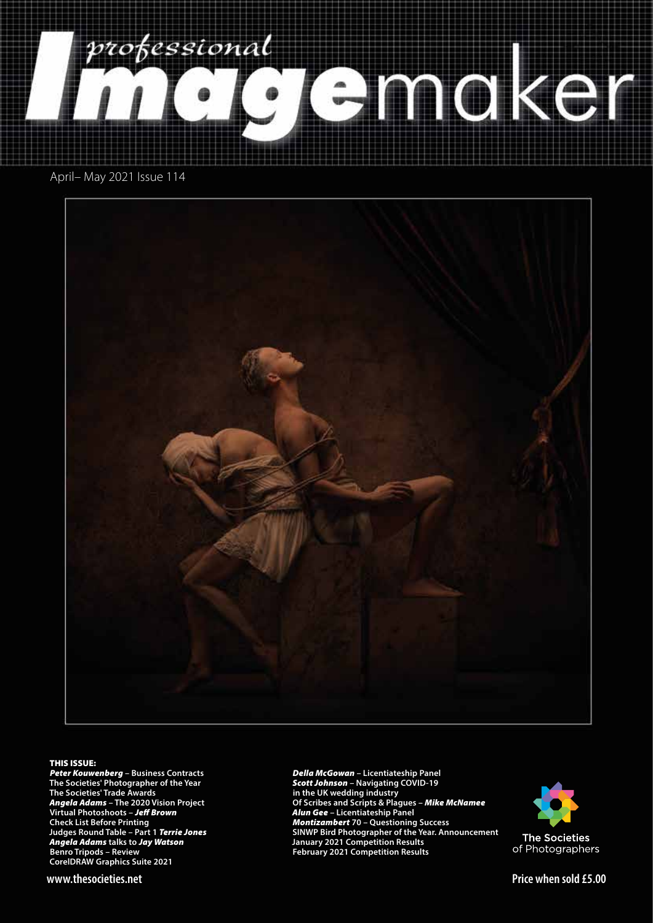<span id="page-0-0"></span>

April– May 2021 Issue 114



#### THIS ISSUE:

*Peter Kouwenberg* **– Business Contracts The Societies' Photographer of the Year The Societies' Trade Awards** *Angela Adams* **– The 2020 Vision Project Virtual Photoshoots –** *Je*! *Brown* **Check List Before Printing Judges Round Table – Part 1** *Terrie Jones Angela Adams* **talks to** *Jay Watson* **Benro Tripods – Review CorelDRAW Graphics Suite 2021**

*Della McGowan* **– Licentiateship Panel** *Scott Johnson* **– Navigating COVID-19 in the UK wedding industry Of Scribes and Scripts & Plagues –** *Mike McNamee Alun Gee* **– Licentiateship Panel** *Montizambert* **70 – Questioning Success SINWP Bird Photographer of the Year. Announcement January 2021 Competition Results February 2021 Competition Results**



**www.thesocieties.net Price when sold £5.00**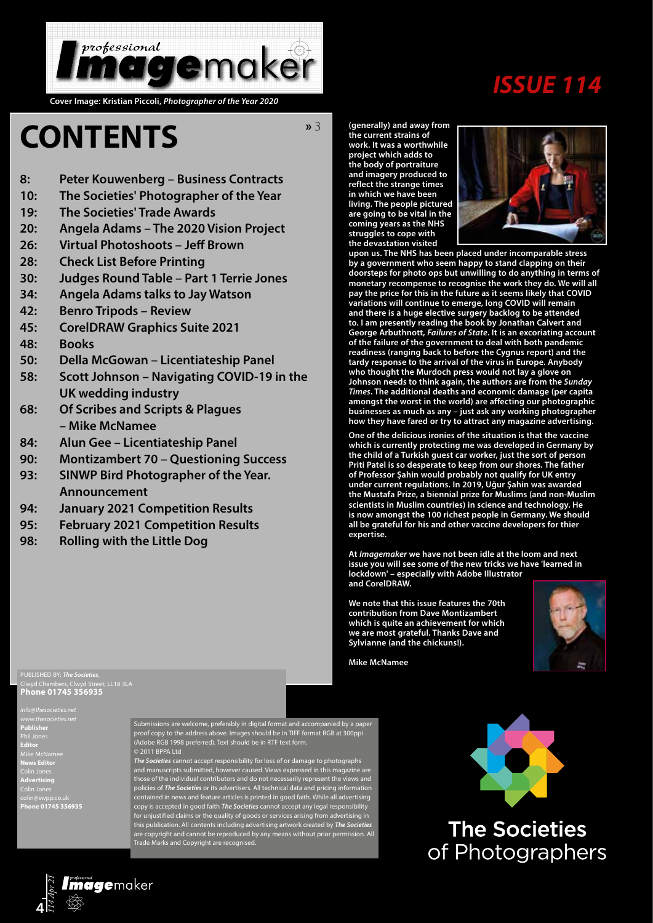

# *ISSUE 114*

**Cover Image: Kristian Piccoli,** *Photographer of the Year 2020*

# **CONTENTS**

**»** 3

- **8: [Peter Kouwenberg Business Contracts](#page-0-0)**
- **10: [The Societies' Photographer of the Year](#page-2-0)**
- **19: [The Societies' Trade Awards](#page-0-0)**
- **20: [Angela Adams The 2020 Vision Project](#page-3-0)**
- **26: [Virtual Photoshoots Je](#page-0-0)! Brown**
- **28: [Check List Before Printing](#page-0-0)**
- **30: [Judges Round Table Part 1 Terrie Jones](#page-0-0)**
- **34: [Angela Adams talks to Jay Watson](#page-0-0)**
- **42: [Benro Tripods Review](#page-0-0)**
- **45: [CorelDRAW Graphics Suite 2021](#page-0-0)**
- **48: [Books](#page-0-0)**
- **50: [Della McGowan Licentiateship Panel](#page-0-0)**
- **58: [Scott Johnson Navigating COVID-19 in the](#page-0-0)  [UK wedding industry](#page-0-0)**
- **68: [Of Scribes and Scripts & Plagues](#page-0-0)  [– Mike McNamee](#page-0-0)**
- **84: [Alun Gee Licentiateship Panel](#page-0-0)**
- **90: [Montizambert 70 Questioning Success](#page-0-0)**
- **93: [SINWP Bird Photographer of the Year.](#page-0-0)  [Announcement](#page-0-0)**
- **94: [January 2021 Competition Results](#page-0-0)**
- **95: [February 2021 Competition Results](#page-0-0)**
- **98: [Rolling with the Little Dog](#page-0-0)**

Clwyd Chambers, Clwyd Street, LL18 3LA **Phone 01745 356935**

*info@thesocieties.net* **Publisher** Phil Jones **Editor** Mike McNamee **News Editor** Colin Jones **Advertising** Colin Jones colin@swpp.co.uk **Phone 01745 356935**

Submissions are welcome, preferably in digital format and accompanied by a paper proof copy to the address above. Images should be in TIFF format RGB at 300ppi (Adobe RGB 1998 preferred). Text should be in RTF text form. © 2011 BPPA Ltd

*The Societies* cannot accept responsibility for loss of or damage to photographs and manuscripts submitted, however caused. Views expressed in this magazine are those of the individual contributors and do not necessarily represent the views and policies of *The Societies* or its advertisers. All technical data and pricing information contained in news and feature articles is printed in good faith. While all advertising copy is accepted in good faith *The Societies* cannot accept any legal responsibility for unjustified claims or the quality of goods or services arising from advertising in this publication. All contents including advertising artwork created by *The Societies*  are copyright and cannot be reproduced by any means without prior permission. All Trade Marks and Copyright are recognised.

**(generally) and away from the current strains of work. It was a worthwhile project which adds to the body of portraiture and imagery produced to reflect the strange times in which we have been living. The people pictured are going to be vital in the coming years as the NHS struggles to cope with the devastation visited** 



**upon us. The NHS has been placed under incomparable stress by a government who seem happy to stand clapping on their doorsteps for photo ops but unwilling to do anything in terms of monetary recompense to recognise the work they do. We will all pay the price for this in the future as it seems likely that COVID variations will continue to emerge, long COVID will remain and there is a huge elective surgery backlog to be attended to. I am presently reading the book by Jonathan Calvert and George Arbuthnott,** *Failures of State***. It is an excoriating account of the failure of the government to deal with both pandemic readiness (ranging back to before the Cygnus report) and the tardy response to the arrival of the virus in Europe. Anybody who thought the Murdoch press would not lay a glove on Johnson needs to think again, the authors are from the** *Sunday Times***. The additional deaths and economic damage (per capita amongst the worst in the world) are affecting our photographic businesses as much as any – just ask any working photographer how they have fared or try to attract any magazine advertising.** 

**One of the delicious ironies of the situation is that the vaccine which is currently protecting me was developed in Germany by the child of a Turkish guest car worker, just the sort of person Priti Patel is so desperate to keep from our shores. The father of Professor Şahin would probably not qualify for UK entry under current regulations. In 2019, Uğur Şahin was awarded the Mustafa Prize, a biennial prize for Muslims (and non-Muslim scientists in Muslim countries) in science and technology. He is now amongst the 100 richest people in Germany. We should all be grateful for his and other vaccine developers for thier expertise.**

**At** *Imagemaker* **we have not been idle at the loom and next issue you will see some of the new tricks we have 'learned in lockdown' – especially with Adobe Illustrator and CorelDRAW.**

**We note that this issue features the 70th contribution from Dave Montizambert which is quite an achievement for which we are most grateful. Thanks Dave and Sylvianne (and the chickuns!).**



**Mike McNamee**



of Photographers

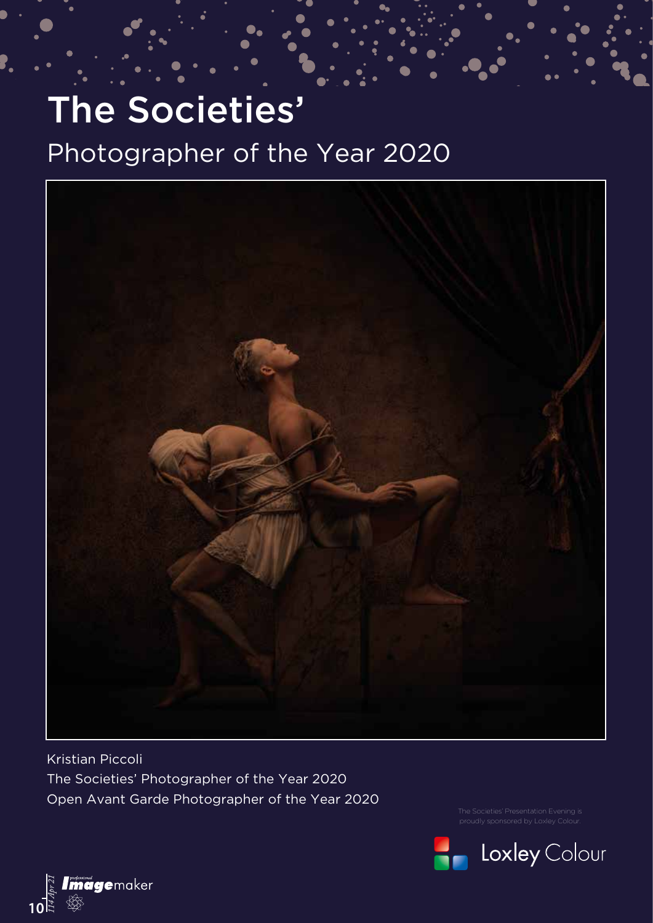# <span id="page-2-0"></span>The Societies' Photographer of the Year 2020



Kristian Piccoli The Societies' Photographer of the Year 2020 Open Avant Garde Photographer of the Year 2020



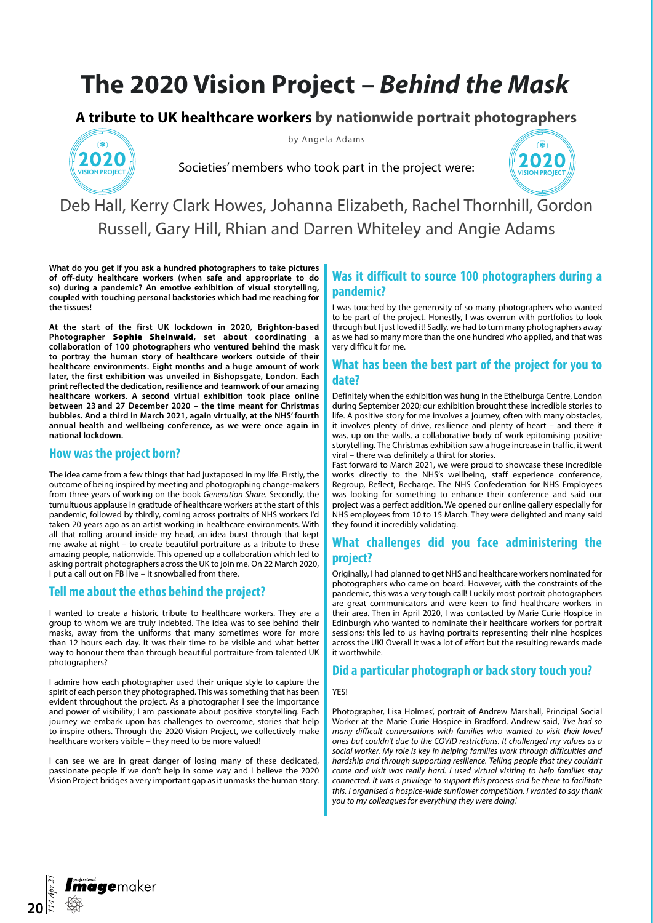# <span id="page-3-0"></span>**The 2020 Vision Project –** *Behind the Mask*

## **A tribute to UK healthcare workers by nationwide portrait photographers**



by Angela Adams





Deb Hall, Kerry Clark Howes, Johanna Elizabeth, Rachel Thornhill, Gordon Russell, Gary Hill, Rhian and Darren Whiteley and Angie Adams

**What do you get if you ask a hundred photographers to take pictures of off-duty healthcare workers (when safe and appropriate to do so) during a pandemic? An emotive exhibition of visual storytelling, coupled with touching personal backstories which had me reaching for the tissues!** 

**At the start of the first UK lockdown in 2020, Brighton-based Photographer** Sophie Sheinwald**, set about coordinating a collaboration of 100 photographers who ventured behind the mask to portray the human story of healthcare workers outside of their healthcare environments. Eight months and a huge amount of work later, the first exhibition was unveiled in Bishopsgate, London. Each print reflected the dedication, resilience and teamwork of our amazing healthcare workers. A second virtual exhibition took place online between 23 and 27 December 2020 – the time meant for Christmas bubbles. And a third in March 2021, again virtually, at the NHS' fourth annual health and wellbeing conference, as we were once again in national lockdown.** 

### **How was the project born?**

The idea came from a few things that had juxtaposed in my life. Firstly, the outcome of being inspired by meeting and photographing change-makers from three years of working on the book *Generation Share.* Secondly, the tumultuous applause in gratitude of healthcare workers at the start of this pandemic, followed by thirdly, coming across portraits of NHS workers I'd taken 20 years ago as an artist working in healthcare environments. With all that rolling around inside my head, an idea burst through that kept me awake at night – to create beautiful portraiture as a tribute to these amazing people, nationwide. This opened up a collaboration which led to asking portrait photographers across the UK to join me. On 22 March 2020, I put a call out on FB live – it snowballed from there.

### **Tell me about the ethos behind the project?**

I wanted to create a historic tribute to healthcare workers. They are a group to whom we are truly indebted. The idea was to see behind their masks, away from the uniforms that many sometimes wore for more than 12 hours each day. It was their time to be visible and what better way to honour them than through beautiful portraiture from talented UK photographers?

I admire how each photographer used their unique style to capture the spirit of each person they photographed. This was something that has been evident throughout the project. As a photographer I see the importance and power of visibility; I am passionate about positive storytelling. Each journey we embark upon has challenges to overcome, stories that help to inspire others. Through the 2020 Vision Project, we collectively make healthcare workers visible – they need to be more valued!

I can see we are in great danger of losing many of these dedicated, passionate people if we don't help in some way and I believe the 2020 Vision Project bridges a very important gap as it unmasks the human story.

### **Was it difficult to source 100 photographers during a pandemic?**

I was touched by the generosity of so many photographers who wanted to be part of the project. Honestly, I was overrun with portfolios to look through but I just loved it! Sadly, we had to turn many photographers away as we had so many more than the one hundred who applied, and that was very difficult for me.

### **What has been the best part of the project for you to date?**

Definitely when the exhibition was hung in the Ethelburga Centre, London during September 2020; our exhibition brought these incredible stories to life. A positive story for me involves a journey, often with many obstacles, it involves plenty of drive, resilience and plenty of heart – and there it was, up on the walls, a collaborative body of work epitomising positive storytelling. The Christmas exhibition saw a huge increase in traffic, it went viral – there was definitely a thirst for stories.

Fast forward to March 2021, we were proud to showcase these incredible works directly to the NHS's wellbeing, staff experience conference, Regroup, Reflect, Recharge. The NHS Confederation for NHS Employees was looking for something to enhance their conference and said our project was a perfect addition. We opened our online gallery especially for NHS employees from 10 to 15 March. They were delighted and many said they found it incredibly validating.

### **What challenges did you face administering the project?**

Originally, I had planned to get NHS and healthcare workers nominated for photographers who came on board. However, with the constraints of the pandemic, this was a very tough call! Luckily most portrait photographers are great communicators and were keen to find healthcare workers in their area. Then in April 2020, I was contacted by Marie Curie Hospice in Edinburgh who wanted to nominate their healthcare workers for portrait sessions; this led to us having portraits representing their nine hospices across the UK! Overall it was a lot of effort but the resulting rewards made it worthwhile.

### **Did a particular photograph or back story touch you?**

#### **YES!**

Photographer, Lisa Holmes', portrait of Andrew Marshall, Principal Social Worker at the Marie Curie Hospice in Bradford. Andrew said, '*I've had so many difficult conversations with families who wanted to visit their loved ones but couldn't due to the COVID restrictions. It challenged my values as a social worker. My role is key in helping families work through difficulties and hardship and through supporting resilience. Telling people that they couldn't come and visit was really hard. I used virtual visiting to help families stay connected. It was a privilege to support this process and be there to facilitate this. I organised a hospice-wide sunflower competition. I wanted to say thank you to my colleagues for everything they were doing.'*

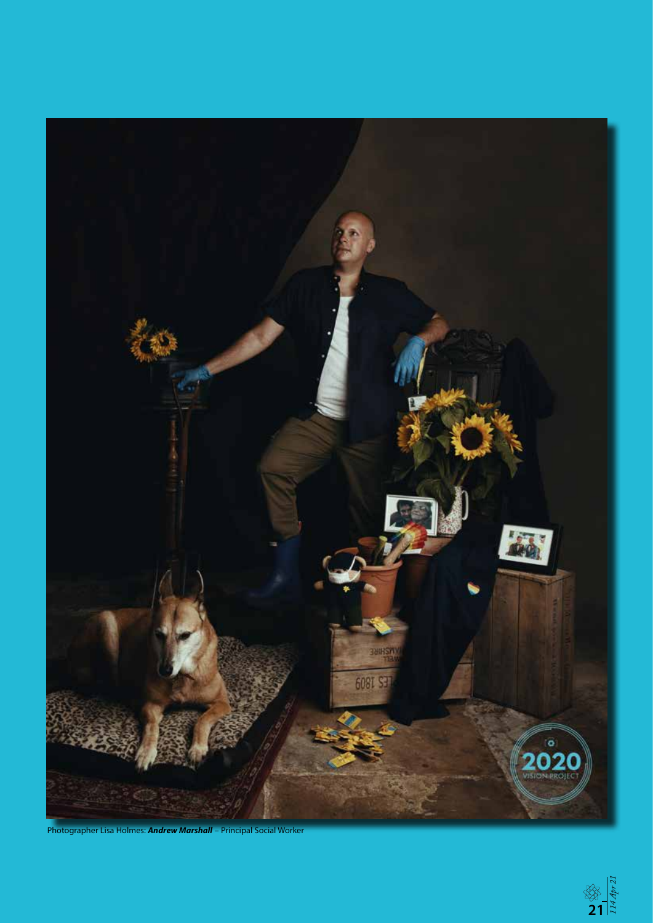

Photographer Lisa Holmes: *Andrew Marshall* – Principal Social Worker

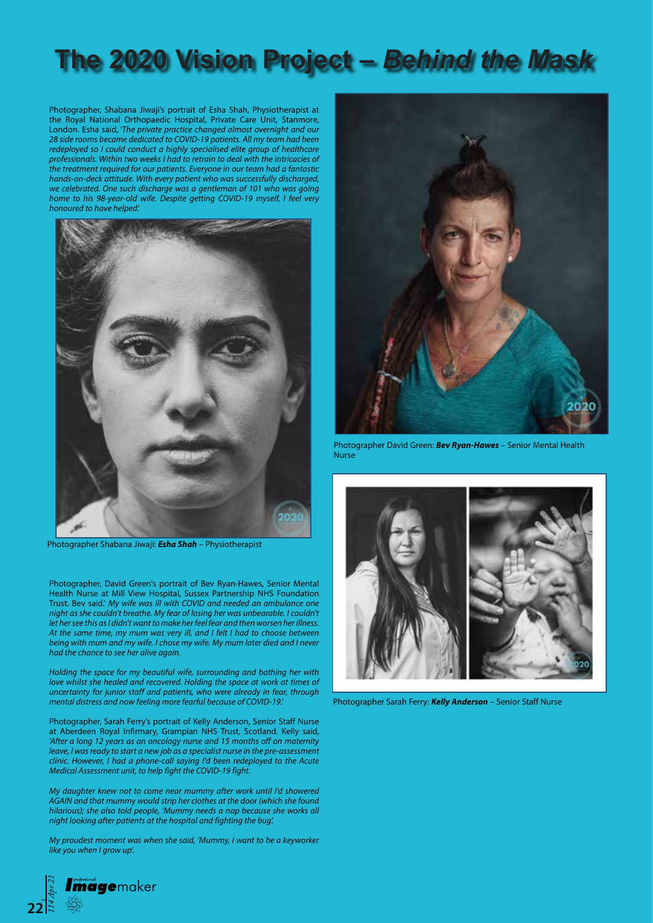# **The 2020 Vision Project –** *Behind the Mask*

Photographer, Shabana Jiwaji's portrait of Esha Shah, Physiotherapist at the Royal National Orthopaedic Hospital, Private Care Unit, Stanmore, London. Esha said, '*The private practice changed almost overnight and our 28 side rooms became dedicated to COVID-19 patients. All my team had been redeployed so I could conduct a highly specialised elite group of healthcare professionals. Within two weeks I had to retrain to deal with the intricacies of the treatment required for our patients. Everyone in our team had a fantastic hands-on-deck attitude. With every patient who was successfully discharged, we celebrated. One such discharge was a gentleman of 101 who was going home to his 98-year-old wife. Despite getting COVID-19 myself, I feel very honoured to have helped'.*



Photographer Shabana Jiwaji: *Esha Shah* – Physiotherapist

Photographer, David Green's portrait of Bev Ryan-Hawes, Senior Mental Health Nurse at Mill View Hospital, Sussex Partnership NHS Foundation Trust. Bev said.' *My wife was ill with COVID and needed an ambulance one night as she couldn't breathe. My fear of losing her was unbearable. I couldn't let her see this as I didn't want to make her feel fear and then worsen her illness. At the same time, my mum was very ill, and I felt I had to choose between being with mum and my wife. I chose my wife. My mum later died and I never had the chance to see her alive again.* 

*Holding the space for my beautiful wife, surrounding and bathing her with love whilst she healed and recovered. Holding the space at work at times of uncertainty for junior staff and patients, who were already in fear, through mental distress and now feeling more fearful because of COVID-19.'*

Photographer, Sarah Ferry's portrait of Kelly Anderson, Senior Staff Nurse at Aberdeen Royal Infirmary, Grampian NHS Trust, Scotland. Kelly said, *'After a long 12 years as an oncology nurse and 15 months off on maternity leave, I was ready to start a new job as a specialist nurse in the pre-assessment clinic. However, I had a phone-call saying I'd been redeployed to the Acute Medical Assessment unit, to help fight the COVID-19 fight.* 

*My daughter knew not to come near mummy after work until I'd showered AGAIN and that mummy would strip her clothes at the door (which she found hilarious); she also told people, 'Mummy needs a nap because she works all night looking after patients at the hospital and fighting the bug'.* 

*My proudest moment was when she said, 'Mummy, I want to be a keyworker like you when I grow up*'.



Photographer David Green: *Bev Ryan-Hawes* – Senior Mental Health Nurse



Photographer Sarah Ferry: *Kelly Anderson* – Senior Staff Nurse

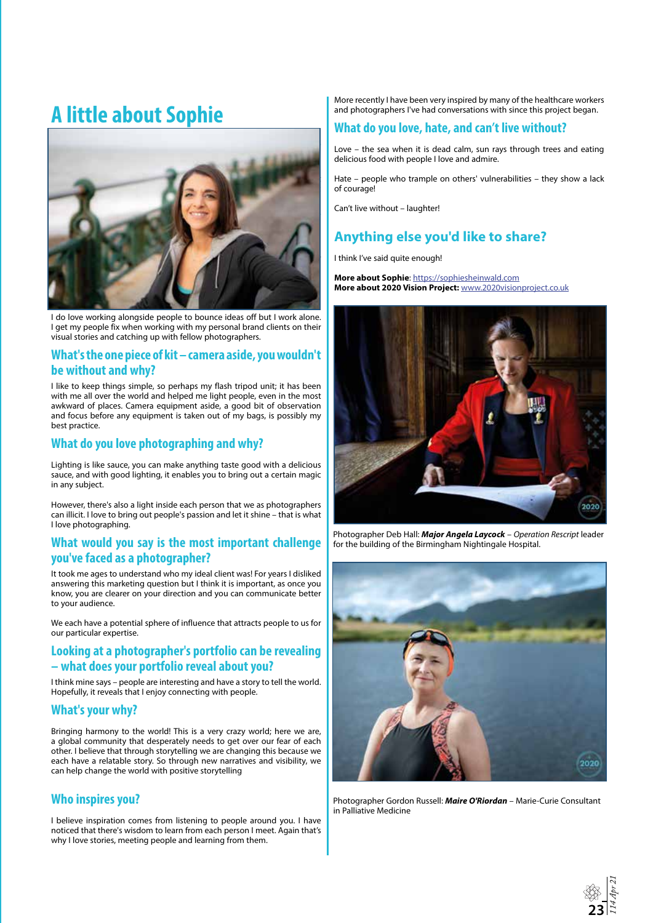# **A little about Sophie**



I do love working alongside people to bounce ideas off but I work alone. I get my people fix when working with my personal brand clients on their visual stories and catching up with fellow photographers.

#### **What's the one piece of kit – camera aside, you wouldn't be without and why?**

I like to keep things simple, so perhaps my flash tripod unit; it has been with me all over the world and helped me light people, even in the most awkward of places. Camera equipment aside, a good bit of observation and focus before any equipment is taken out of my bags, is possibly my best practice.

### **What do you love photographing and why?**

Lighting is like sauce, you can make anything taste good with a delicious sauce, and with good lighting, it enables you to bring out a certain magic in any subject.

However, there's also a light inside each person that we as photographers can illicit. I love to bring out people's passion and let it shine – that is what I love photographing.

#### **What would you say is the most important challenge you've faced as a photographer?**

It took me ages to understand who my ideal client was! For years I disliked answering this marketing question but I think it is important, as once you know, you are clearer on your direction and you can communicate better to your audience.

We each have a potential sphere of influence that attracts people to us for our particular expertise.

### **Looking at a photographer's portfolio can be revealing – what does your portfolio reveal about you?**

I think mine says – people are interesting and have a story to tell the world. Hopefully, it reveals that I enjoy connecting with people.

### **What's your why?**

Bringing harmony to the world! This is a very crazy world; here we are, a global community that desperately needs to get over our fear of each other. I believe that through storytelling we are changing this because we each have a relatable story. So through new narratives and visibility, we can help change the world with positive storytelling

## **Who inspires you?**

I believe inspiration comes from listening to people around you. I have noticed that there's wisdom to learn from each person I meet. Again that's why I love stories, meeting people and learning from them.

More recently I have been very inspired by many of the healthcare workers and photographers I've had conversations with since this project began.

### **What do you love, hate, and can't live without?**

Love – the sea when it is dead calm, sun rays through trees and eating delicious food with people I love and admire.

Hate – people who trample on others' vulnerabilities – they show a lack of courage!

Can't live without – laughter!

# **Anything else you'd like to share?**

I think I've said quite enough!

**More about Sophie**: <https://sophiesheinwald.com> **More about 2020 Vision Project:** [www.2020visionproject.co.uk](http://www.2020visionproject.co.uk)



Photographer Deb Hall: *Major Angela Laycock* – *Operation Rescript* leader for the building of the Birmingham Nightingale Hospital.



Photographer Gordon Russell: *Maire O'Riordan* – Marie-Curie Consultant in Palliative Medicine

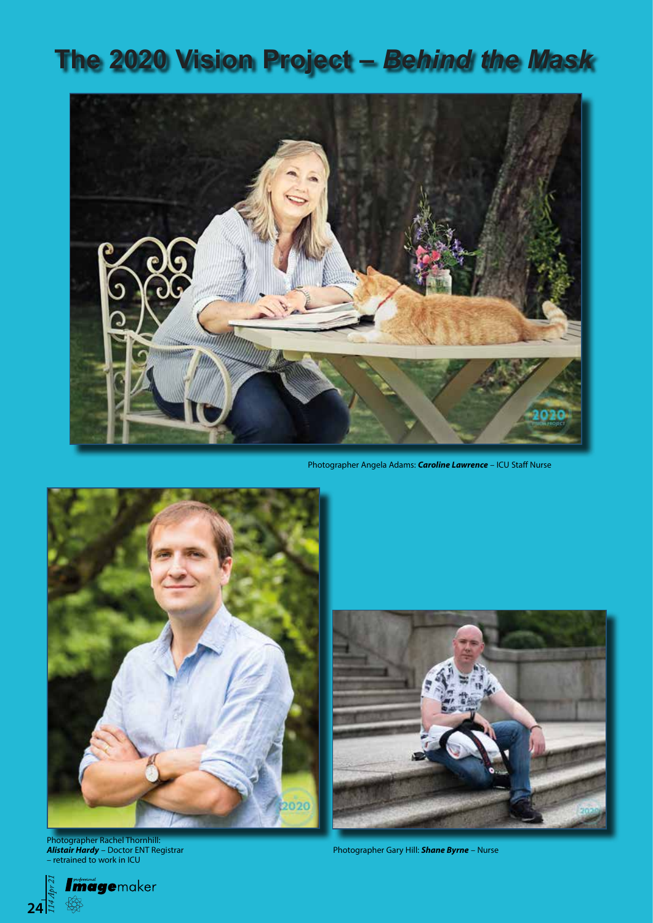# **The 2020 Vision Project –** *Behind the Mask*



Photographer Angela Adams: *Caroline Lawrence* – ICU Staff Nurse



Photographer Rachel Thornhill: *Alistair Hardy* – Doctor ENT Registrar – retrained to work in ICU



Photographer Gary Hill: *Shane Byrne* – Nurse